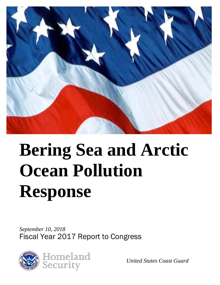

# **Bering Sea and Arctic Ocean Pollution Response**

*September 10, 2018*  Fiscal Year 2017 Report to Congress



*United States Coast Guard*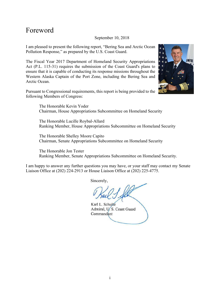## Foreword

#### September 10, 2018

I am pleased to present the following report, "Bering Sea and Arctic Ocean Pollution Response," as prepared by the U.S. Coast Guard.

The Fiscal Year 2017 Department of Homeland Security Appropriations Act (P.L. 115-31) requires the submission of the Coast Guard's plans to ensure that it is capable of conducting its response missions throughout the Western Alaska Captain of the Port Zone, including the Bering Sea and Arctic Ocean.

Pursuant to Congressional requirements, this report is being provided to the following Members of Congress:



The Honorable Kevin Yoder Chairman, House Appropriations Subcommittee on Homeland Security

The Honorable Lucille Roybal-Allard Ranking Member, House Appropriations Subcommittee on Homeland Security

The Honorable Shelley Moore Capito Chairman, Senate Appropriations Subcommittee on Homeland Security

The Honorable Jon Tester Ranking Member, Senate Appropriations Subcommittee on Homeland Security.

I am happy to answer any further questions you may have, or your staff may contact my Senate Liaison Office at (202) 224-2913 or House Liaison Office at (202) 225-4775.

Sincerely,

Karl L. Schultz Admiral, U. S. Coast Guard Commandant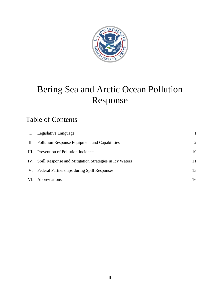

# Bering Sea and Arctic Ocean Pollution Response

## Table of Contents

| Ι. | Legislative Language                                       |    |
|----|------------------------------------------------------------|----|
| П. | Pollution Response Equipment and Capabilities              | 2  |
| Ш. | Prevention of Pollution Incidents                          | 10 |
|    | IV. Spill Response and Mitigation Strategies in Icy Waters | 11 |
| V. | <b>Federal Partnerships during Spill Responses</b>         | 13 |
|    | VI. Abbreviations                                          | 16 |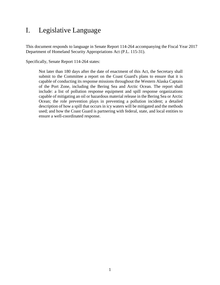## I. Legislative Language

This document responds to language in Senate Report 114-264 accompanying the Fiscal Year 2017 Department of Homeland Security Appropriations Act (P.L. 115-31).

Specifically, Senate Report 114-264 states:

Not later than 180 days after the date of enactment of this Act, the Secretary shall submit to the Committee a report on the Coast Guard's plans to ensure that it is capable of conducting its response missions throughout the Western Alaska Captain of the Port Zone, including the Bering Sea and Arctic Ocean. The report shall include: a list of pollution response equipment and spill response organizations capable of mitigating an oil or hazardous material release in the Bering Sea or Arctic Ocean; the role prevention plays in preventing a pollution incident; a detailed description of how a spill that occurs in icy waters will be mitigated and the methods used; and how the Coast Guard is partnering with federal, state, and local entities to ensure a well-coordinated response.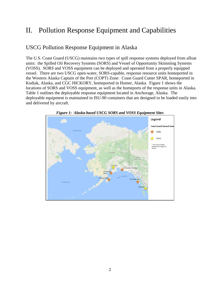## II. Pollution Response Equipment and Capabilities

#### USCG Pollution Response Equipment in Alaska

The U.S. Coast Guard (USCG) maintains two types of spill response systems deployed from afloat units: the Spilled Oil Recovery Systems (SORS) and Vessel of Opportunity Skimming Systems (VOSS). SORS and VOSS equipment can be deployed and operated from a properly equipped vessel. There are two USCG open-water, SORS-capable, response resource units homeported in the Western Alaska Captain of the Port (COPT) Zone: Coast Guard Cutter SPAR, homeported in Kodiak, Alaska, and CGC HICKORY, homeported in Homer, Alaska. Figure 1 shows the locations of SORS and VOSS equipment, as well as the homeports of the response units in Alaska. Table 1 outlines the deployable response equipment located in Anchorage, Alaska. The deployable equipment is maintained in ISU-90 containers that are designed to be loaded easily into and delivered by aircraft.



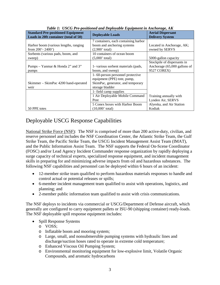| <b>Standard Pre-positioned Equipment</b><br>Loads in 20ft container (total of 50) | <b>Deployable Loads</b>                                                                                                  | <b>Aerial Dispersant</b><br><b>Delivery System</b>                                |
|-----------------------------------------------------------------------------------|--------------------------------------------------------------------------------------------------------------------------|-----------------------------------------------------------------------------------|
| Harbor boom (various lengths, ranging<br>from $200' - 2400'$ )                    | 7 containers, each containing harbor<br>boom and anchoring systems<br>$(2,900'$ total)                                   | Located in Anchorage, AK;<br>owned by SERVS                                       |
| Sorbents (various pads, boom, and<br>sweep)                                       | 10 containers of ocean boom<br>$(5,000'$ total)                                                                          | 5000-gallon capacity                                                              |
| Pumps – Yanmar & Honda 2" and 3"<br>pumps                                         | 1- various sorbent materials (pads,<br>boom, and sweep)                                                                  | Stockpile of dispersants in<br>Anchorage (65,000 gallons of<br>9527 COREX)        |
| Skimmer – SkimPac 4200 hand-operated<br>weir                                      | 1-60-person personnel protective<br>equipment (PPE) tote, pump,<br>SkimPac, generator, and temporary<br>storage bladder  |                                                                                   |
| 50 PPE totes                                                                      | 1- field camp supplies<br>1 Air Deployable Mobile Command<br>Post<br>5 Conex boxes with Harbor Boom<br>$(10,000'$ total) | Training annually with<br>Lynden Air, SERVS<br>Alyeska, and Air Station<br>Kodiak |

*Table 1: USCG Pre-positioned and Deployable Equipment in Anchorage, AK* 

### Deployable USCG Response Capabilities

National Strike Force (NSF): The NSF is comprised of more than 200 active-duty, civilian, and reserve personnel and includes the NSF Coordination Center, the Atlantic Strike Team, the Gulf Strike Team, the Pacific Strike Team, the USCG Incident Management Assist Team (IMAT), and the Public Information Assist Team. The NSF supports the Federal On-Scene Coordinator (FOSC) and/or Lead Agency Incident Commander response organization by rapidly deploying a surge capacity of technical experts, specialized response equipment, and incident management skills in preparing for and minimizing adverse impacts from oil and hazardous substances. The following NSF capabilities and personnel can be deployed within 6 hours of an incident:

- 12-member strike team qualified to perform hazardous materials responses to handle and control actual or potential releases or spills;
- 6-member incident management team qualified to assist with operations, logistics, and planning; and
- 2-member public information team qualified to assist with crisis communications.

The NSF deploys to incidents via commercial or USCG/Department of Defense aircraft, which generally are configured to carry equipment pallets or ISU-90 (shipping container) ready-loads. The NSF deployable spill response equipment includes:

- Spill Response Systems
	- o VOSS;
	- o Inflatable boom and mooring system;
	- o Large, small, and nonsubmersible pumping systems with hydraulic lines and discharge/suction hoses rated to operate in extreme cold temperature;
	- o Enhanced Viscous Oil Pumping System;
	- o Environmental monitoring equipment for low-explosive limit, Volatile Organic Compounds, and aromatic hydrocarbons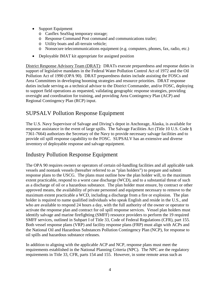- Support Equipment
	- o Canflex SeaSlug temporary storage;
	- o Response Command Post command and communications trailer;
	- o Utility boats and all-terrain vehicle;
	- o Nonsecure telecommunications equipment (e.g. computers, phones, fax, radio, etc.)
- Deployable IMAT kit appropriate for assigned position

District Response Advisory Team (DRAT): DRATs execute preparedness and response duties in support of legislative mandates in the Federal Water Pollution Control Act of 1972 and the Oil Pollution Act of 1990 (OPA 90). DRAT preparedness duties include assisting the FOSCs and Area Committees in developing booming strategies and resource priorities. DRAT response duties include serving as a technical advisor to the District Commander, and/or FOSC, deploying to support field operations as requested, validating geographic response strategies, providing oversight and coordination for training, and providing Area Contingency Plan (ACP) and Regional Contingency Plan (RCP) input.

#### SUPSALV Pollution Response Equipment

The U.S. Navy Supervisor of Salvage and Diving's depot in Anchorage, Alaska, is available for response assistance in the event of large spills. The Salvage Facilities Act (Title 10 U.S. Code § 7361-7664) authorizes the Secretary of the Navy to provide necessary salvage facilities and to provide oil spill response capability to the FOSC. SUPSALV has an extensive and diverse inventory of deployable response and salvage equipment.

#### Industry Pollution Response Equipment

The OPA 90 requires owners or operators of certain oil-handling facilities and all applicable tank vessels and nontank vessels (hereafter referred to as "plan holders") to prepare and submit response plans to the USCG. The plans must outline how the plan holder will, to the maximum extent practicable, respond to a worst case discharge (WCD), and to a substantial threat of such as a discharge of oil or a hazardous substance. The plan holder must ensure, by contract or other approved means, the availability of private personnel and equipment necessary to remove to the maximum extent practicable a WCD, including a discharge from a fire or explosion. The plan holder is required to name qualified individuals who speak English and reside in the U.S., and who are available to respond 24 hours a day, with the full authority of the owner or operator to activate the response plan and contract for oil spill response services. Vessel plan holders must identify salvage and marine firefighting (SMFF) resource providers to perform the 19 required SMFF services, outlined in Subpart I of Title 33, Code of Federal Regulations (CFR), part 155. Both vessel response plans (VRP) and facility response plans (FRP) must align with ACPs and the National Oil and Hazardous Substances Pollution Contingency Plan (NCP), for response to oil spills and hazardous substance releases.

In addition to aligning with the applicable ACP and NCP, response plans must meet the requirements established in the National Planning Criteria (NPC). The NPC are the regulatory requirements in Title 33, CFR, parts 154 and 155. However, in some remote areas such as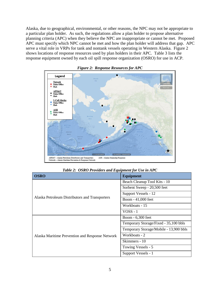Alaska, due to geographical, environmental, or other reasons, the NPC may not be appropriate to a particular plan holder. As such, the regulations allow a plan holder to propose alternative planning criteria (APC) when they believe the NPC are inappropriate or cannot be met. Proposed APC must specify which NPC cannot be met and how the plan holder will address that gap. APC serve a vital role in VRPs for tank and nontank vessels operating in Western Alaska. Figure 2 shows locations of response resources used by plan holders in their APC. Table 3 lists the response equipment owned by each oil spill response organization (OSRO) for use in ACP.





| Table 2: OSRO Providers and Equipment for Use in APC |
|------------------------------------------------------|
|------------------------------------------------------|

| <b>OSRO</b>                                     | <b>Equipment</b>                       |  |
|-------------------------------------------------|----------------------------------------|--|
|                                                 | Beach Cleanup Tool Kits - 10           |  |
|                                                 | Sorbent Sweep - 20,500 feet            |  |
|                                                 | Support Vessels - 12                   |  |
| Alaska Petroleum Distributors and Transporters  | Boom - 41,000 feet                     |  |
|                                                 | Workboats - 15                         |  |
|                                                 | $V$ OSS - 1                            |  |
|                                                 | Boom - 6,300 feet                      |  |
|                                                 | Temporary Storage/Fixed - 35,100 bbls  |  |
|                                                 | Temporary Storage/Mobile - 13,900 bbls |  |
| Alaska Maritime Prevention and Response Network | Workboats - 2                          |  |
|                                                 | Skimmers - 10                          |  |
|                                                 | Towing Vessels - 5                     |  |
|                                                 | Support Vessels - 1                    |  |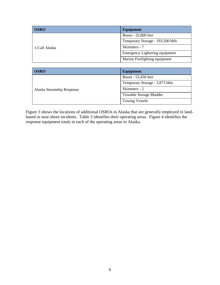| <b>OSRO</b>   | <b>Equipment</b>                      |
|---------------|---------------------------------------|
|               | Boom - 32,000 feet                    |
|               | Temporary Storage - 193,500 bbls      |
| 1-Call Alaska | Skimmers - 7                          |
|               | <b>Emergency Lightering equipment</b> |
|               | Marine Firefighting equipment         |

| <b>OSRO</b>               | <b>Equipment</b>               |
|---------------------------|--------------------------------|
|                           | Boom - 53,450 feet             |
|                           | Temporary Storage - 5,873 bbls |
| Alaska Steamship Response | Skimmers - 2                   |
|                           | Towable Storage Bladder        |
|                           | <b>Towing Vessels</b>          |

Figure 3 shows the locations of additional OSROs in Alaska that are generally employed in landbased or near-shore incidents. Table 3 identifies their operating areas. Figure 4 identifies the response equipment totals in each of the operating areas in Alaska.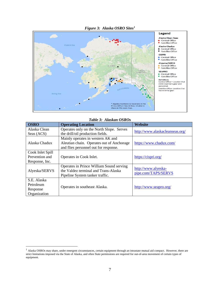

#### *Table 3: Alaskan OSROs*

| <b>OSRO</b>      | <b>Operating Location</b>                 | <b>Website</b>                  |  |
|------------------|-------------------------------------------|---------------------------------|--|
| Alaska Clean     | Operates only on the North Slope. Serves  | http://www.alaskacleanseas.org/ |  |
| Seas (ACS)       | the drill/oil production fields.          |                                 |  |
|                  | Mainly operates in western AK and         |                                 |  |
| Alaska Chadux    | Aleutian chain. Operates out of Anchorage | https://www.chadux.com/         |  |
|                  | and flies personnel out for response.     |                                 |  |
| Cook Inlet Spill |                                           |                                 |  |
| Prevention and   | Operates in Cook Inlet.                   | https://cispri.org/             |  |
| Response, Inc.   |                                           |                                 |  |
|                  | Operates in Prince William Sound serving  | http://www.alyeska-             |  |
| Alyeska/SERVS    | the Valdez terminal and Trans-Alaska      | pipe.com/TAPS/SERVS             |  |
|                  | Pipeline System tanker traffic.           |                                 |  |
| S.E. Alaska      |                                           |                                 |  |
| Petroleum        | Operates in southeast Alaska.             | http://www.seapro.org/          |  |
| Response         |                                           |                                 |  |
| Organization     |                                           |                                 |  |

 $\overline{a}$ 

<span id="page-9-0"></span><sup>&</sup>lt;sup>1</sup> Alaska OSROs may share, under emergent circumstances, certain equipment through an intrastate mutual aid compact. However, there are strict limitations imposed via the State of Alaska, and often State permissions are required for out-of-area movement of certain types of equipment.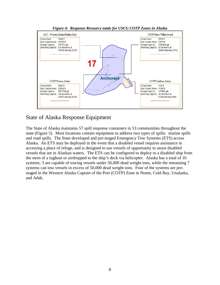

*Figure 4: Response Resource totals for USCG COTP Zones in Alaska*

#### State of Alaska Response Equipment

The State of Alaska maintains 57 spill response containers in 53 communities throughout the state (Figure 5). Most locations contain equipment to address two types of spills: marine spills and road spills. The State developed and pre-staged Emergency Tow Systems (ETS) across Alaska. An ETS may be deployed in the event that a disabled vessel requires assistance in accessing a place of refuge, and is designed to use vessels of opportunity to assist disabled vessels that are in Alaskan waters. The ETS can be configured to deploy to a disabled ship from the stern of a tugboat or airdropped to the ship's deck via helicopter. Alaska has a total of 10 systems; 3 are capable of towing vessels under 50,000 dead weight tons, while the remaining 7 systems can tow vessels in excess of 50,000 dead weight tons. Four of the systems are prestaged in the Western Alaska Captain of the Port (COTP) Zone in Nome, Cold Bay, Unalaska, and Adak.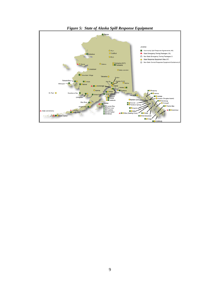

*Figure 5: State of Alaska Spill Response Equipment*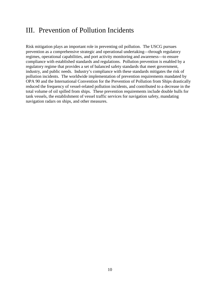## III. Prevention of Pollution Incidents

Risk mitigation plays an important role in preventing oil pollution. The USCG pursues prevention as a comprehensive strategic and operational undertaking—through regulatory regimes, operational capabilities, and port activity monitoring and awareness—to ensure compliance with established standards and regulations. Pollution prevention is enabled by a regulatory regime that provides a set of balanced safety standards that meet government, industry, and public needs. Industry's compliance with these standards mitigates the risk of pollution incidents. The worldwide implementation of prevention requirements mandated by OPA 90 and the International Convention for the Prevention of Pollution from Ships drastically reduced the frequency of vessel-related pollution incidents, and contributed to a decrease in the total volume of oil spilled from ships. These prevention requirements include double hulls for tank vessels, the establishment of vessel traffic services for navigation safety, mandating navigation radars on ships, and other measures.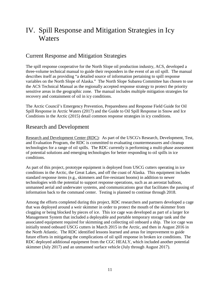## IV. Spill Response and Mitigation Strategies in Icy **Waters**

#### Current Response and Mitigation Strategies

The spill response cooperative for the North Slope oil production industry, ACS, developed a three-volume technical manual to guide their responders in the event of an oil spill. The manual describes itself as providing "a detailed source of information pertaining to spill response variables on the North Slope of Alaska." The North Slope Subarea Committee has chosen to use the ACS Technical Manual as the regionally accepted response strategy to protect the priority sensitive areas in the geographic zone. The manual includes multiple mitigation strategies for recovery and containment of oil in icy conditions.

The Arctic Council's Emergency Prevention, Preparedness and Response Field Guide for Oil Spill Response in Arctic Waters (2017) and the Guide to Oil Spill Response in Snow and Ice Conditions in the Arctic (2015) detail common response strategies in icy conditions.

#### Research and Development

Research and Development Center (RDC): As part of the USCG's Research, Development, Test, and Evaluation Program, the RDC is committed to evaluating countermeasures and cleanup technologies for a range of oil spills. The RDC currently is performing a multi-phase assessment of potential solutions and emerging technologies for better responding to oil spills in ice conditions.

As part of this project, prototype equipment is deployed from USCG cutters operating in ice conditions in the Arctic, the Great Lakes, and off the coast of Alaska. This equipment includes standard response items (e.g., skimmers and fire-resistant booms) in addition to newer technologies with the potential to support response operations, such as an aerostat balloon, unmanned aerial and underwater systems, and communications gear that facilitates the passing of information back to the command center. Testing is planned to continue through 2018.

Among the efforts completed during this project, RDC researchers and partners developed a cage that was deployed around a weir skimmer in order to protect the mouth of the skimmer from clogging or being blocked by pieces of ice. This ice cage was developed as part of a larger Ice Management System that included a deployable and portable temporary storage tank and the associated equipment required for skimming and collecting oil onboard a ship. The ice cage was initially tested onboard USCG cutters in March 2015 in the Arctic, and then in August 2016 in the North Atlantic. The RDC identified lessons learned and areas for improvement to guide future efforts in mitigating the complications of oil spill response in broken ice conditions. The RDC deployed additional equipment from the CGC HEALY, which included another potential skimmer (July 2017) and an unmanned surface vehicle (July through August 2017).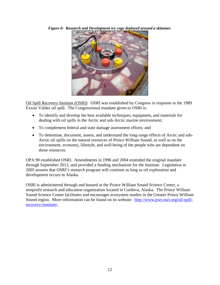*Figure 6: Research and Development ice cage deployed around a skimmer.*



Oil Spill Recovery Institute (OSRI): OSRI was established by Congress in response to the 1989 Exxon Valdez oil spill. The Congressional mandate given to OSRI is:

- To identify and develop the best available techniques, equipment, and materials for dealing with oil spills in the Arctic and sub-Arctic marine environment;
- To complement federal and state damage assessment efforts; and
- To determine, document, assess, and understand the long-range effects of Arctic and sub-Arctic oil spills on the natural resources of Prince William Sound, as well as on the environment, economy, lifestyle, and well-being of the people who are dependent on those resources.

OPA 90 established OSRI. Amendments in 1996 and 2004 extended the original mandate through September 2012, and provided a funding mechanism for the Institute. Legislation in 2005 assures that OSRI's research program will continue as long as oil exploration and development occurs in Alaska.

OSRI is administered through and housed at the Prince William Sound Science Center, a nonprofit research and education organization located in Cordova, Alaska. The Prince William Sound Science Center facilitates and encourages ecosystem studies in the Greater Prince William Sound region. More information can be found on its website: [http://www.pws-osri.org/oil-spill](http://www.pws-osri.org/oil-spill-recovery-institute/)[recovery-institute/.](http://www.pws-osri.org/oil-spill-recovery-institute/)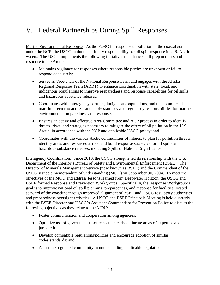## V. Federal Partnerships During Spill Responses

Marine Environmental Response: As the FOSC for response to pollution in the coastal zone under the NCP, the USCG maintains primary responsibility for oil spill response in U.S. Arctic waters. The USCG implements the following initiatives to enhance spill preparedness and response in the Arctic:

- Maintains vigilance for responses where responsible parties are unknown or fail to respond adequately;
- Serves as Vice-chair of the National Response Team and engages with the Alaska Regional Response Team (ARRT) to enhance coordination with state, local, and indigenous populations to improve preparedness and response capabilities for oil spills and hazardous substance releases;
- Coordinates with interagency partners, indigenous populations, and the commercial maritime sector to address and apply statutory and regulatory responsibilities for marine environmental preparedness and response;
- Ensures an active and effective Area Committee and ACP process in order to identify threats, risks, and strategies necessary to mitigate the effect of oil pollution in the U.S. Arctic, in accordance with the NCP and applicable USCG policy; and
- Coordinates with the various Arctic communities of interest to plan for pollution threats, identify areas and resources at risk, and build response strategies for oil spills and hazardous substance releases, including Spills of National Significance.

Interagency Coordination: Since 2010, the USCG strengthened its relationship with the U.S. Department of the Interior's Bureau of Safety and Environmental Enforcement (BSEE). The Director of Minerals Management Service (now known as BSEE) and the Commandant of the USCG signed a memorandum of understanding (MOU) on September 30, 2004. To meet the objectives of the MOU and address lessons learned from Deepwater Horizon, the USCG and BSEE formed Response and Prevention Workgroups. Specifically, the Response Workgroup's goal is to improve national oil spill planning, preparedness, and response for facilities located seaward of the coastline through improved alignment of BSEE and USCG regulatory authorities and preparedness oversight activities. A USCG and BSEE Principals Meeting is held quarterly with the BSEE Director and USCG's Assistant Commandant for Prevention Policy to discuss the following objectives as they relate to the MOU:

- Foster communication and cooperation among agencies;
- Optimize use of government resources and clearly delineate areas of expertise and jurisdiction;
- Develop compatible regulations/policies and encourage adoption of similar codes/standards; and
- Assist the regulated community in understanding applicable regulations.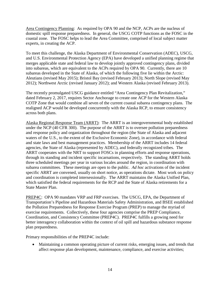Area Contingency Planning: As required by OPA 90 and the NCP, ACPs are the nucleus of domestic spill response preparedness. In general, the USCG COTP functions as the FOSC in the coastal zone. The FOSC helps to lead the Area Committee, comprised of local subject matter experts, in creating the ACP.

To meet this challenge, the Alaska Department of Environmental Conservation (ADEC), USCG, and U.S. Environmental Protection Agency (EPA) have developed a unified planning regime that merges applicable state and federal law to develop jointly approved contingency plans, divided into subareas, which are equivalent to the ACPs required by OPA 90. Currently, there are 10 subareas developed in the State of Alaska, of which the following five lie within the Arctic: Aleutians (revised May 2015); Bristol Bay (revised February 2013); North Slope (revised May 2012); Northwest Arctic (revised January 2012); and Western Alaska (revised February 2013).

The recently promulgated USCG guidance entitled "Area Contingency Plan Revitalization," dated February 2, 2017, requires Sector Anchorage to create one ACP for the Western Alaska COTP Zone that would combine all seven of the current coastal subarea contingency plans. The realigned ACP would be developed concurrently with the Alaska RCP, to ensure consistency across both plans.

Alaska Regional Response Team (ARRT): The ARRT is an intergovernmental body established under the NCP (40 CFR 300). The purpose of the ARRT is to oversee pollution preparedness and response policy and organization throughout the region (the State of Alaska and adjacent waters of the U.S., to the extent of the Exclusive Economic Zone), in accordance with federal and state laws and best management practices. Membership of the ARRT includes 14 federal agencies, the State of Alaska (represented by ADEC), and federally recognized tribes. The ARRT cooperates with the NRT to support FOSCs in planning efforts and response operations, through its standing and incident specific incarnations, respectively. The standing ARRT holds three scheduled meetings per year in various locales around the region, in coordination with subarea committees. These meetings are open to the public. *Ad hoc* activations of the incident specific ARRT are convened, usually on short notice, as operations dictate. Most work on policy and coordination is completed intersessionally. The ARRT maintains the Alaska Unified Plan, which satisfied the federal requirements for the RCP and the State of Alaska retirements for a State Master Plan.

PREP4C: OPA 90 mandates VRP and FRP exercises. The USCG, EPA, the Department of Transportation's Pipeline and Hazardous Materials Safety Administration, and BSEE established the Pollution Preparedness for Response Exercise Program (PREP) to manage the myriad of exercise requirements. Collectively, these four agencies comprise the PREP Compliance, Coordination, and Consistency Committee (PREP4C). PREP4C fulfills a growing need for better interagency collaboration within the context of oil spill and hazardous substance response plan preparedness.

Primary responsibilities of the PREP4C include:

• Maintaining a common operating picture of current risks, emerging issues, and trends that affect response plan development, maintenance, compliance, and exercise activities;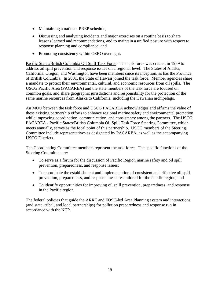- Maintaining a national PREP schedule;
- Discussing and analyzing incidents and major exercises on a routine basis to share lessons learned and recommendations, and to maintain a unified posture with respect to response planning and compliance; and
- Promoting consistency within OSRO oversight.

Pacific States/British Columbia Oil Spill Task Force: The task force was created in 1989 to address oil spill prevention and response issues on a regional level. The States of Alaska, California, Oregon, and Washington have been members since its inception, as has the Province of British Columbia. In 2001, the State of Hawaii joined the task force. Member agencies share a mandate to protect their environmental, cultural, and economic resources from oil spills. The USCG Pacific Area (PACAREA) and the state members of the task force are focused on common goals, and share geographic jurisdictions and responsibility for the protection of the same marine resources from Alaska to California, including the Hawaiian archipelago.

An MOU between the task force and USCG PACAREA acknowledges and affirms the value of these existing partnership efforts to enhance regional marine safety and environmental protection while improving coordination, communication, and consistency among the partners. The USCG PACAREA - Pacific States/British Columbia Oil Spill Task Force Steering Committee, which meets annually, serves as the focal point of this partnership. USCG members of the Steering Committee include representatives as designated by PACAREA, as well as the accompanying USCG Districts.

The Coordinating Committee members represent the task force. The specific functions of the Steering Committee are:

- To serve as a forum for the discussion of Pacific Region marine safety and oil spill prevention, preparedness, and response issues;
- To coordinate the establishment and implementation of consistent and effective oil spill prevention, preparedness, and response measures tailored for the Pacific region; and
- To identify opportunities for improving oil spill prevention, preparedness, and response in the Pacific region.

The federal policies that guide the ARRT and FOSC-led Area Planning system and interactions (and state, tribal, and local partnerships) for pollution preparedness and response run in accordance with the NCP.